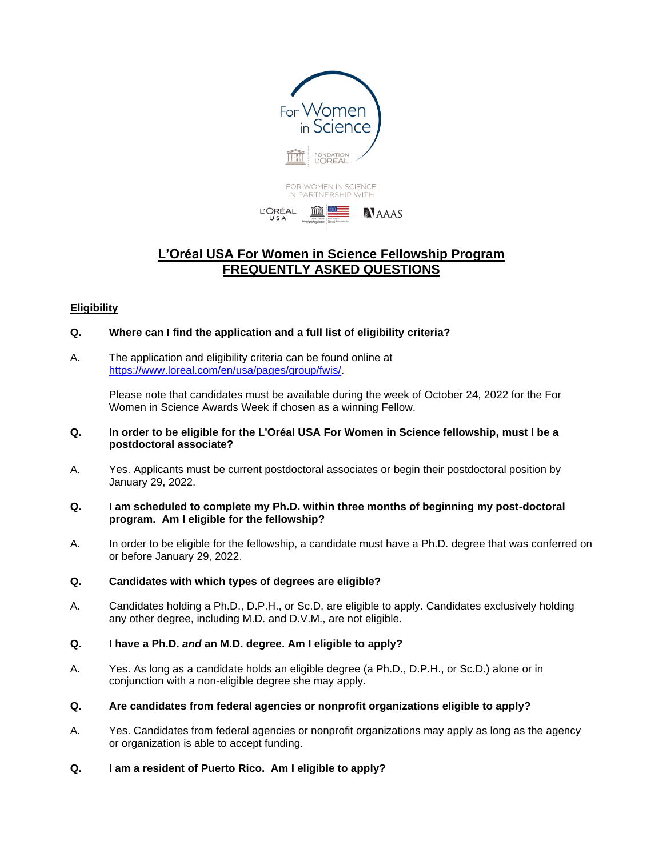

# **L'Oréal USA For Women in Science Fellowship Program FREQUENTLY ASKED QUESTIONS**

# **Eligibility**

- **Q. Where can I find the application and a full list of eligibility criteria?**
- A. The application and eligibility criteria can be found online at [https://www.loreal.com/en/usa/pages/group/fwis/.](https://www.loreal.com/en/usa/pages/group/fwis/)

Please note that candidates must be available during the week of October 24, 2022 for the For Women in Science Awards Week if chosen as a winning Fellow.

- **Q. In order to be eligible for the L'Oréal USA For Women in Science fellowship, must I be a postdoctoral associate?**
- A. Yes. Applicants must be current postdoctoral associates or begin their postdoctoral position by January 29, 2022.
- **Q. I am scheduled to complete my Ph.D. within three months of beginning my post-doctoral program. Am I eligible for the fellowship?**
- A. In order to be eligible for the fellowship, a candidate must have a Ph.D. degree that was conferred on or before January 29, 2022.
- **Q. Candidates with which types of degrees are eligible?**
- A. Candidates holding a Ph.D., D.P.H., or Sc.D. are eligible to apply. Candidates exclusively holding any other degree, including M.D. and D.V.M., are not eligible.
- **Q. I have a Ph.D.** *and* **an M.D. degree. Am I eligible to apply?**
- A. Yes. As long as a candidate holds an eligible degree (a Ph.D., D.P.H., or Sc.D.) alone or in conjunction with a non-eligible degree she may apply.
- **Q. Are candidates from federal agencies or nonprofit organizations eligible to apply?**
- A. Yes. Candidates from federal agencies or nonprofit organizations may apply as long as the agency or organization is able to accept funding.
- **Q. I am a resident of Puerto Rico. Am I eligible to apply?**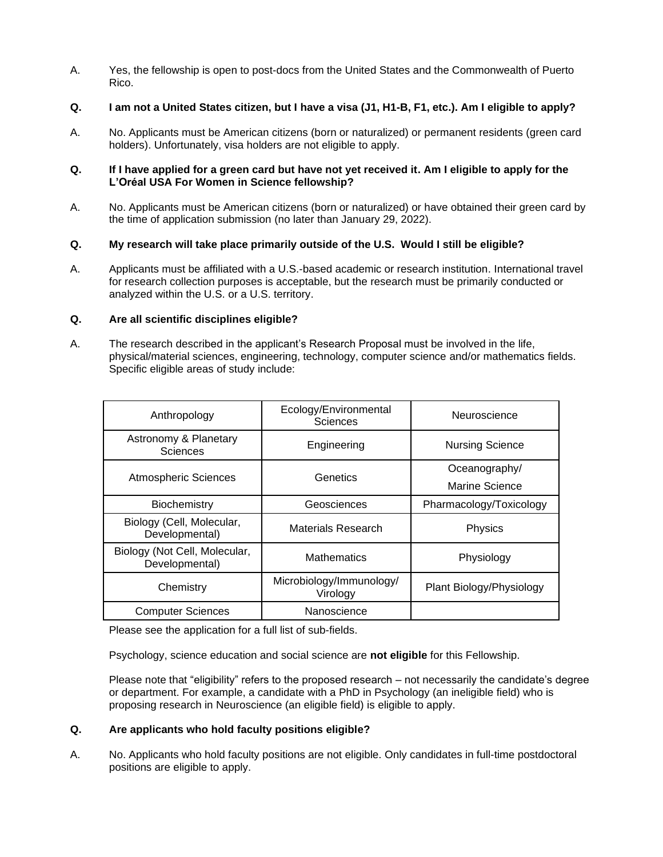A. Yes, the fellowship is open to post-docs from the United States and the Commonwealth of Puerto Rico.

# **Q. I am not a United States citizen, but I have a visa (J1, H1-B, F1, etc.). Am I eligible to apply?**

A. No. Applicants must be American citizens (born or naturalized) or permanent residents (green card holders). Unfortunately, visa holders are not eligible to apply.

### **Q. If I have applied for a green card but have not yet received it. Am I eligible to apply for the L'Oréal USA For Women in Science fellowship?**

A. No. Applicants must be American citizens (born or naturalized) or have obtained their green card by the time of application submission (no later than January 29, 2022).

# **Q. My research will take place primarily outside of the U.S. Would I still be eligible?**

A. Applicants must be affiliated with a U.S.-based academic or research institution. International travel for research collection purposes is acceptable, but the research must be primarily conducted or analyzed within the U.S. or a U.S. territory.

## **Q. Are all scientific disciplines eligible?**

A. The research described in the applicant's Research Proposal must be involved in the life, physical/material sciences, engineering, technology, computer science and/or mathematics fields. Specific eligible areas of study include:

| Anthropology                                    | Ecology/Environmental<br>Sciences    | Neuroscience             |
|-------------------------------------------------|--------------------------------------|--------------------------|
| Astronomy & Planetary<br><b>Sciences</b>        | Engineering                          | <b>Nursing Science</b>   |
| <b>Atmospheric Sciences</b>                     | Genetics                             | Oceanography/            |
|                                                 |                                      | Marine Science           |
| Biochemistry                                    | Geosciences                          | Pharmacology/Toxicology  |
| Biology (Cell, Molecular,<br>Developmental)     | Materials Research                   | Physics                  |
| Biology (Not Cell, Molecular,<br>Developmental) | <b>Mathematics</b>                   | Physiology               |
| Chemistry                                       | Microbiology/Immunology/<br>Virology | Plant Biology/Physiology |
| <b>Computer Sciences</b>                        | Nanoscience                          |                          |

Please see the application for a full list of sub-fields.

Psychology, science education and social science are **not eligible** for this Fellowship.

Please note that "eligibility" refers to the proposed research – not necessarily the candidate's degree or department. For example, a candidate with a PhD in Psychology (an ineligible field) who is proposing research in Neuroscience (an eligible field) is eligible to apply.

#### **Q. Are applicants who hold faculty positions eligible?**

A. No. Applicants who hold faculty positions are not eligible. Only candidates in full-time postdoctoral positions are eligible to apply.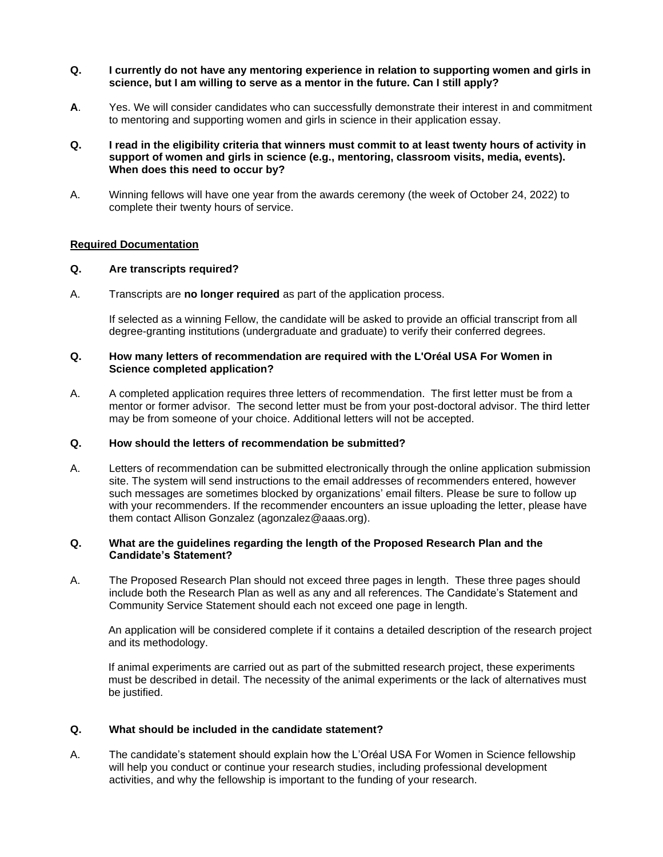- **Q. I currently do not have any mentoring experience in relation to supporting women and girls in science, but I am willing to serve as a mentor in the future. Can I still apply?**
- **A**. Yes. We will consider candidates who can successfully demonstrate their interest in and commitment to mentoring and supporting women and girls in science in their application essay.
- **Q. I read in the eligibility criteria that winners must commit to at least twenty hours of activity in support of women and girls in science (e.g., mentoring, classroom visits, media, events). When does this need to occur by?**
- A. Winning fellows will have one year from the awards ceremony (the week of October 24, 2022) to complete their twenty hours of service.

### **Required Documentation**

#### **Q. Are transcripts required?**

A. Transcripts are **no longer required** as part of the application process.

If selected as a winning Fellow, the candidate will be asked to provide an official transcript from all degree-granting institutions (undergraduate and graduate) to verify their conferred degrees.

#### **Q. How many letters of recommendation are required with the L'Oréal USA For Women in Science completed application?**

A. A completed application requires three letters of recommendation. The first letter must be from a mentor or former advisor. The second letter must be from your post-doctoral advisor. The third letter may be from someone of your choice. Additional letters will not be accepted.

#### **Q. How should the letters of recommendation be submitted?**

A. Letters of recommendation can be submitted electronically through the online application submission site. The system will send instructions to the email addresses of recommenders entered, however such messages are sometimes blocked by organizations' email filters. Please be sure to follow up with your recommenders. If the recommender encounters an issue uploading the letter, please have them contact Allison Gonzalez (agonzalez@aaas.org).

#### **Q. What are the guidelines regarding the length of the Proposed Research Plan and the Candidate's Statement?**

A. The Proposed Research Plan should not exceed three pages in length. These three pages should include both the Research Plan as well as any and all references. The Candidate's Statement and Community Service Statement should each not exceed one page in length.

An application will be considered complete if it contains a detailed description of the research project and its methodology.

If animal experiments are carried out as part of the submitted research project, these experiments must be described in detail. The necessity of the animal experiments or the lack of alternatives must be justified.

#### **Q. What should be included in the candidate statement?**

A. The candidate's statement should explain how the L'Oréal USA For Women in Science fellowship will help you conduct or continue your research studies, including professional development activities, and why the fellowship is important to the funding of your research.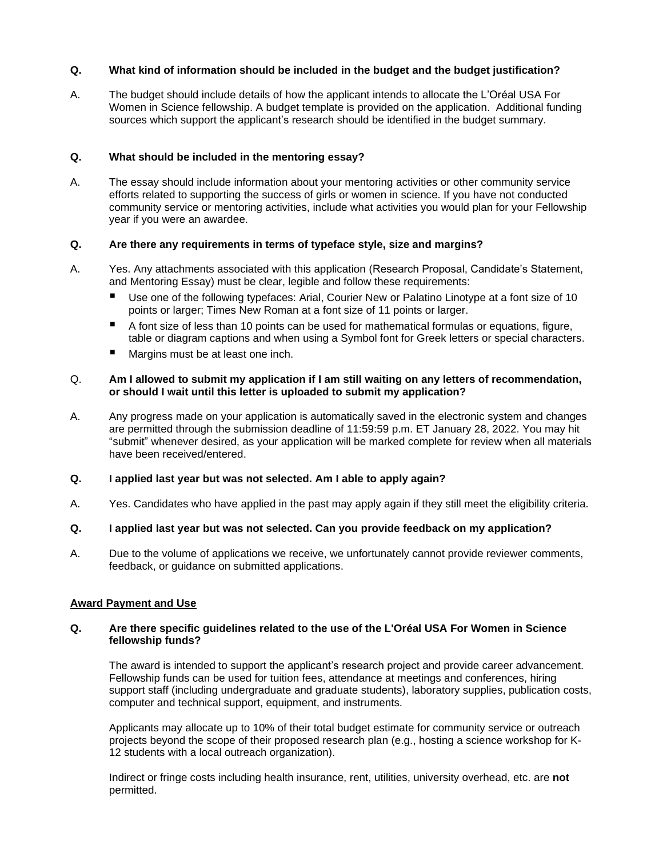## **Q. What kind of information should be included in the budget and the budget justification?**

A. The budget should include details of how the applicant intends to allocate the L'Oréal USA For Women in Science fellowship. A budget template is provided on the application. Additional funding sources which support the applicant's research should be identified in the budget summary.

## **Q. What should be included in the mentoring essay?**

A. The essay should include information about your mentoring activities or other community service efforts related to supporting the success of girls or women in science. If you have not conducted community service or mentoring activities, include what activities you would plan for your Fellowship year if you were an awardee.

# **Q. Are there any requirements in terms of typeface style, size and margins?**

- A. Yes. Any attachments associated with this application (Research Proposal, Candidate's Statement, and Mentoring Essay) must be clear, legible and follow these requirements:
	- Use one of the following typefaces: Arial, Courier New or Palatino Linotype at a font size of 10 points or larger; Times New Roman at a font size of 11 points or larger.
	- A font size of less than 10 points can be used for mathematical formulas or equations, figure, table or diagram captions and when using a Symbol font for Greek letters or special characters.
	- Margins must be at least one inch.

#### Q. **Am I allowed to submit my application if I am still waiting on any letters of recommendation, or should I wait until this letter is uploaded to submit my application?**

A. Any progress made on your application is automatically saved in the electronic system and changes are permitted through the submission deadline of 11:59:59 p.m. ET January 28, 2022. You may hit "submit" whenever desired, as your application will be marked complete for review when all materials have been received/entered.

#### **Q. I applied last year but was not selected. Am I able to apply again?**

A. Yes. Candidates who have applied in the past may apply again if they still meet the eligibility criteria.

#### **Q. I applied last year but was not selected. Can you provide feedback on my application?**

A. Due to the volume of applications we receive, we unfortunately cannot provide reviewer comments, feedback, or guidance on submitted applications.

#### **Award Payment and Use**

#### **Q. Are there specific guidelines related to the use of the L'Oréal USA For Women in Science fellowship funds?**

The award is intended to support the applicant's research project and provide career advancement. Fellowship funds can be used for tuition fees, attendance at meetings and conferences, hiring support staff (including undergraduate and graduate students), laboratory supplies, publication costs, computer and technical support, equipment, and instruments.

Applicants may allocate up to 10% of their total budget estimate for community service or outreach projects beyond the scope of their proposed research plan (e.g., hosting a science workshop for K-12 students with a local outreach organization).

Indirect or fringe costs including health insurance, rent, utilities, university overhead, etc. are **not** permitted.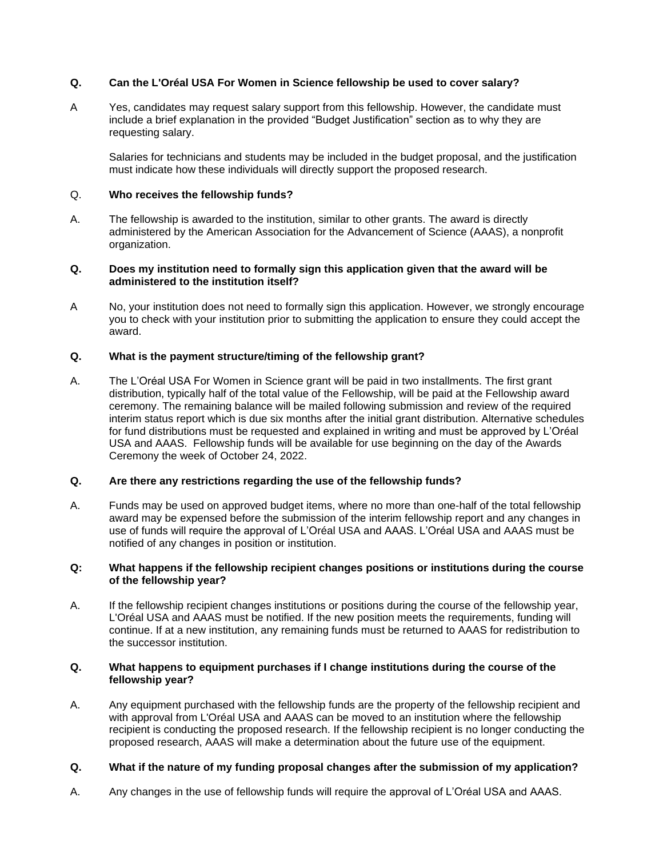# **Q. Can the L'Oréal USA For Women in Science fellowship be used to cover salary?**

A Yes, candidates may request salary support from this fellowship. However, the candidate must include a brief explanation in the provided "Budget Justification" section as to why they are requesting salary.

Salaries for technicians and students may be included in the budget proposal, and the justification must indicate how these individuals will directly support the proposed research.

#### Q. **Who receives the fellowship funds?**

A. The fellowship is awarded to the institution, similar to other grants. The award is directly administered by the American Association for the Advancement of Science (AAAS), a nonprofit organization.

#### **Q. Does my institution need to formally sign this application given that the award will be administered to the institution itself?**

A No, your institution does not need to formally sign this application. However, we strongly encourage you to check with your institution prior to submitting the application to ensure they could accept the award.

#### **Q. What is the payment structure/timing of the fellowship grant?**

A. The L'Oréal USA For Women in Science grant will be paid in two installments. The first grant distribution, typically half of the total value of the Fellowship, will be paid at the Fellowship award ceremony. The remaining balance will be mailed following submission and review of the required interim status report which is due six months after the initial grant distribution. Alternative schedules for fund distributions must be requested and explained in writing and must be approved by L'Oréal USA and AAAS. Fellowship funds will be available for use beginning on the day of the Awards Ceremony the week of October 24, 2022.

#### **Q. Are there any restrictions regarding the use of the fellowship funds?**

A. Funds may be used on approved budget items, where no more than one-half of the total fellowship award may be expensed before the submission of the interim fellowship report and any changes in use of funds will require the approval of L'Oréal USA and AAAS. L'Oréal USA and AAAS must be notified of any changes in position or institution.

#### **Q: What happens if the fellowship recipient changes positions or institutions during the course of the fellowship year?**

A. If the fellowship recipient changes institutions or positions during the course of the fellowship year, L'Oréal USA and AAAS must be notified. If the new position meets the requirements, funding will continue. If at a new institution, any remaining funds must be returned to AAAS for redistribution to the successor institution.

### **Q. What happens to equipment purchases if I change institutions during the course of the fellowship year?**

A. Any equipment purchased with the fellowship funds are the property of the fellowship recipient and with approval from L'Oréal USA and AAAS can be moved to an institution where the fellowship recipient is conducting the proposed research. If the fellowship recipient is no longer conducting the proposed research, AAAS will make a determination about the future use of the equipment.

# **Q. What if the nature of my funding proposal changes after the submission of my application?**

A. Any changes in the use of fellowship funds will require the approval of L'Oréal USA and AAAS.